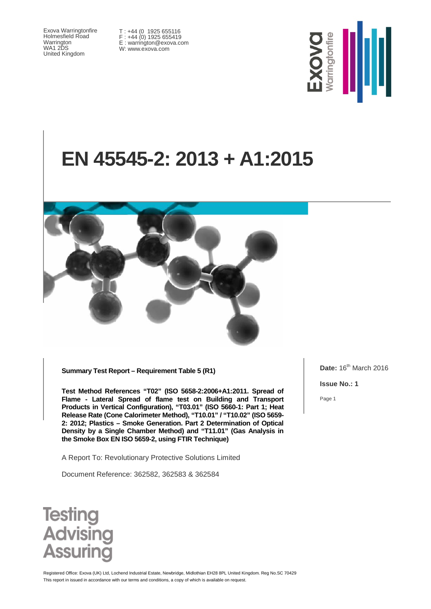Exova Warringtonfire Holmesfield Road Warrington WA1 2DS United Kingdom

T : +44 (0 1925 655116 F : +44 (0) 1925 655419 E : warrington@exova.com W: www.exova.com



# **EN 45545-2: 2013 + A1:2015**



**Summary Test Report – Requirement Table 5 (R1)**

**Test Method References "T02" (ISO 5658-2:2006+A1:2011. Spread of Flame - Lateral Spread of flame test on Building and Transport Products in Vertical Configuration), "T03.01" (ISO 5660-1: Part 1; Heat Release Rate (Cone Calorimeter Method), "T10.01" / "T10.02" (ISO 5659- 2: 2012; Plastics – Smoke Generation. Part 2 Determination of Optical Density by a Single Chamber Method) and "T11.01" (Gas Analysis in the Smoke Box EN ISO 5659-2, using FTIR Technique)**

A Report To: Revolutionary Protective Solutions Limited

Document Reference: 362582, 362583 & 362584

**Date:** 16<sup>th</sup> March 2016

**Issue No.: 1**

Page 1



This report in issued in accordance with our terms and conditions, a copy of which is available on request Registered Office: Exova (UK) Ltd, Lochend Industrial Estate, Newbridge, Midlothian EH28 8PL United Kingdom. Reg No.SC 70429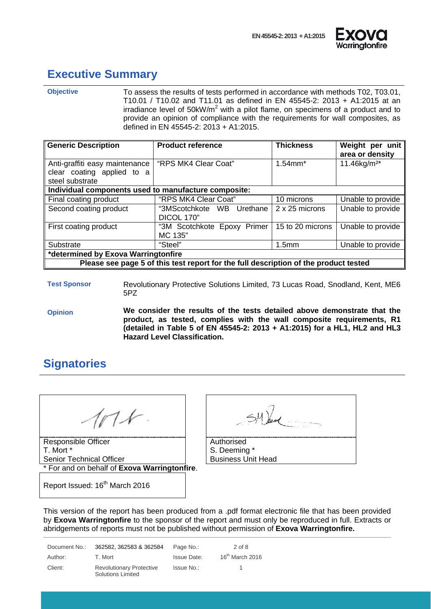



#### <span id="page-1-0"></span>**Executive Summary**

**Objective** To assess the results of tests performed in accordance with methods T02, T03.01, T10.01 / T10.02 and T11.01 as defined in EN 45545-2: 2013 + A1:2015 at an irradiance level of 50kW/ $m^2$  with a pilot flame, on specimens of a product and to provide an opinion of compliance with the requirements for wall composites, as defined in EN 45545-2: 2013 + A1:2015.

| <b>Generic Description</b>                                                           | <b>Product reference</b>                | <b>Thickness</b>  | Weight per unit<br>area or density |
|--------------------------------------------------------------------------------------|-----------------------------------------|-------------------|------------------------------------|
| Anti-graffiti easy maintenance<br>clear coating applied to a<br>steel substrate      | "RPS MK4 Clear Coat"                    | $1.54$ mm $*$     | 11.46kg/m <sup>2*</sup>            |
| Individual components used to manufacture composite:                                 |                                         |                   |                                    |
| Final coating product                                                                | "RPS MK4 Clear Coat"                    | 10 microns        | Unable to provide                  |
| Second coating product                                                               | "3MScotchkote WB Urethane<br>DICOL 170" | 2 x 25 microns    | Unable to provide                  |
| First coating product                                                                | "3M Scotchkote Epoxy Primer<br>MC 135"  | 15 to 20 microns  | Unable to provide                  |
| Substrate                                                                            | "Steel"                                 | 1.5 <sub>mm</sub> | Unable to provide                  |
| *determined by Exova Warringtonfire                                                  |                                         |                   |                                    |
| Please see page 5 of this test report for the full description of the product tested |                                         |                   |                                    |

**Test Sponsor** Revolutionary Protective Solutions Limited, 73 Lucas Road, Snodland, Kent, ME6 5PZ

**Opinion We consider the results of the tests detailed above demonstrate that the product, as tested, complies with the wall composite requirements, R1 (detailed in Table 5 of EN 45545-2: 2013 + A1:2015) for a HL1, HL2 and HL3 Hazard Level Classification.**

## <span id="page-1-1"></span>**Signatories**

**Responsible Officer** T. Mort \* Senior Technical Officer \* For and on behalf of **Exova Warringtonfire**.

| Authorised                |
|---------------------------|
| S. Deeming *              |
| <b>Business Unit Head</b> |

Report Issued: 16<sup>th</sup> March 2016

This version of the report has been produced from a .pdf format electronic file that has been provided by **Exova Warringtonfire** to the sponsor of the report and must only be reproduced in full. Extracts or abridgements of reports must not be published without permission of **Exova Warringtonfire.**

Document No.: 362582, 362583 & 362584 Page No.: 2 of 8 Author: T. Mort Charles and March 2016 Issue Date: 16<sup>th</sup> March 2016 Client: Revolutionary Protective Solutions Limited Issue No.: 1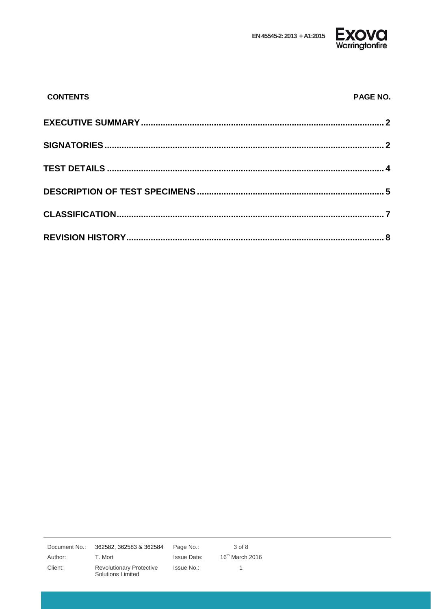EN 45545-2: 2013 + A1:2015



| <b>CONTENTS</b> | PAGE NO. |
|-----------------|----------|
|                 |          |
|                 |          |
|                 |          |
|                 |          |
|                 |          |
|                 |          |

Document No.: 362582, 362583 & 362584 Page No.:  $3$  of  $8$ Author: T. Mort **Issue Date:**  $16^{th}$  March 2016 Client: Revolutionary Protective Issue No.:  $\overline{1}$ Solutions Limited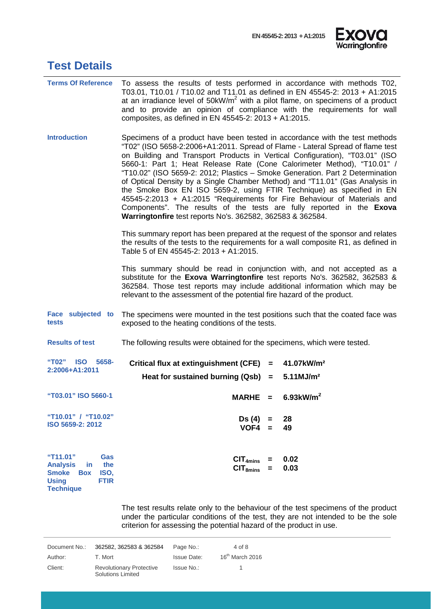

<span id="page-3-0"></span>

|  | <b>Test Details</b> |
|--|---------------------|
|--|---------------------|

| <b>Terms Of Reference</b>                                                                                                                        | To assess the results of tests performed in accordance with methods T02,<br>T03.01, T10.01 / T10.02 and T11.01 as defined in EN 45545-2: 2013 + A1:2015<br>at an irradiance level of $50$ kW/m <sup>2</sup> with a pilot flame, on specimens of a product<br>and to provide an opinion of compliance with the requirements for wall<br>composites, as defined in EN 45545-2: 2013 + A1:2015.                                                                                                                                                                                                                                                                                                                                                                                          |  |  |
|--------------------------------------------------------------------------------------------------------------------------------------------------|---------------------------------------------------------------------------------------------------------------------------------------------------------------------------------------------------------------------------------------------------------------------------------------------------------------------------------------------------------------------------------------------------------------------------------------------------------------------------------------------------------------------------------------------------------------------------------------------------------------------------------------------------------------------------------------------------------------------------------------------------------------------------------------|--|--|
| <b>Introduction</b>                                                                                                                              | Specimens of a product have been tested in accordance with the test methods<br>"T02" (ISO 5658-2:2006+A1:2011. Spread of Flame - Lateral Spread of flame test<br>on Building and Transport Products in Vertical Configuration), "T03.01" (ISO<br>5660-1: Part 1; Heat Release Rate (Cone Calorimeter Method), "T10.01" /<br>"T10.02" (ISO 5659-2: 2012; Plastics - Smoke Generation. Part 2 Determination<br>of Optical Density by a Single Chamber Method) and "T11.01" (Gas Analysis in<br>the Smoke Box EN ISO 5659-2, using FTIR Technique) as specified in EN<br>45545-2:2013 + A1:2015 "Requirements for Fire Behaviour of Materials and<br>Components". The results of the tests are fully reported in the Exova<br>Warringtonfire test reports No's. 362582, 362583 & 362584. |  |  |
|                                                                                                                                                  | This summary report has been prepared at the request of the sponsor and relates<br>the results of the tests to the requirements for a wall composite R1, as defined in<br>Table 5 of EN 45545-2: 2013 + A1:2015.                                                                                                                                                                                                                                                                                                                                                                                                                                                                                                                                                                      |  |  |
|                                                                                                                                                  | This summary should be read in conjunction with, and not accepted as a<br>substitute for the Exova Warringtonfire test reports No's. 362582, 362583 &<br>362584. Those test reports may include additional information which may be<br>relevant to the assessment of the potential fire hazard of the product.                                                                                                                                                                                                                                                                                                                                                                                                                                                                        |  |  |
| Face subjected to<br>tests                                                                                                                       | The specimens were mounted in the test positions such that the coated face was<br>exposed to the heating conditions of the tests.                                                                                                                                                                                                                                                                                                                                                                                                                                                                                                                                                                                                                                                     |  |  |
| <b>Results of test</b>                                                                                                                           | The following results were obtained for the specimens, which were tested.                                                                                                                                                                                                                                                                                                                                                                                                                                                                                                                                                                                                                                                                                                             |  |  |
| "T02"<br><b>ISO</b> 5658-<br>2:2006+A1:2011                                                                                                      | <b>Critical flux at extinguishment (CFE)</b><br>41.07kW/m <sup>2</sup><br>$\equiv$                                                                                                                                                                                                                                                                                                                                                                                                                                                                                                                                                                                                                                                                                                    |  |  |
|                                                                                                                                                  | Heat for sustained burning $(Qsb) =$<br>5.11 M J/m <sup>2</sup>                                                                                                                                                                                                                                                                                                                                                                                                                                                                                                                                                                                                                                                                                                                       |  |  |
| "T03.01" ISO 5660-1                                                                                                                              | $6.93$ kW/m <sup>2</sup><br><b>MARHE</b><br>$=$ $-$                                                                                                                                                                                                                                                                                                                                                                                                                                                                                                                                                                                                                                                                                                                                   |  |  |
| "T10.01" / "T10.02"<br>ISO 5659-2: 2012                                                                                                          | Ds (4)<br>28<br>$=$<br>$VOF4 =$<br>49                                                                                                                                                                                                                                                                                                                                                                                                                                                                                                                                                                                                                                                                                                                                                 |  |  |
| "T11.01"<br><b>Gas</b><br><b>Analysis</b><br>the<br>in.<br><b>Smoke</b><br>ISO,<br><b>Box</b><br><b>Using</b><br><b>FTIR</b><br><b>Technique</b> | 0.02<br>CIT <sub>4mins</sub><br>=<br>0.03<br>CIT <sub>smins</sub><br>$\equiv$                                                                                                                                                                                                                                                                                                                                                                                                                                                                                                                                                                                                                                                                                                         |  |  |

The test results relate only to the behaviour of the test specimens of the product under the particular conditions of the test, they are not intended to be the sole criterion for assessing the potential hazard of the product in use.

| Document No.: | 362582, 362583 & 362584                              | Page No.:   | 4 of 8            |
|---------------|------------------------------------------------------|-------------|-------------------|
| Author:       | T. Mort                                              | Issue Date: | $16th$ March 2016 |
| Client:       | <b>Revolutionary Protective</b><br>Solutions Limited | Issue No.:  |                   |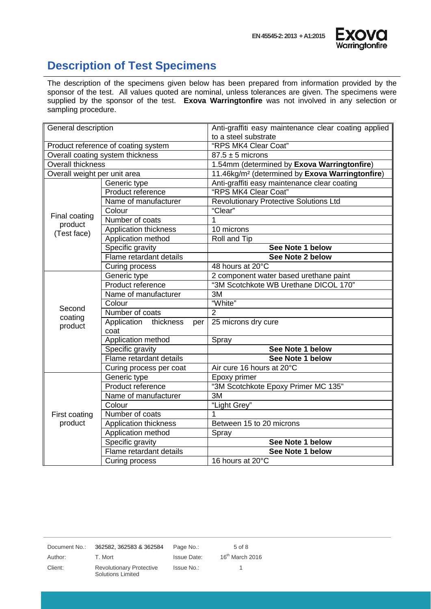

#### <span id="page-4-0"></span>**Description of Test Specimens**

The description of the specimens given below has been prepared from information provided by the sponsor of the test. All values quoted are nominal, unless tolerances are given. The specimens were supplied by the sponsor of the test. **Exova Warringtonfire** was not involved in any selection or sampling procedure.

| General description                 |                                  | Anti-graffiti easy maintenance clear coating applied        |  |
|-------------------------------------|----------------------------------|-------------------------------------------------------------|--|
|                                     |                                  | to a steel substrate                                        |  |
| Product reference of coating system |                                  | "RPS MK4 Clear Coat"                                        |  |
|                                     | Overall coating system thickness | $87.5 \pm 5$ microns                                        |  |
| <b>Overall thickness</b>            |                                  | 1.54mm (determined by Exova Warringtonfire)                 |  |
| Overall weight per unit area        |                                  | 11.46kg/m <sup>2</sup> (determined by Exova Warringtonfire) |  |
|                                     | Generic type                     | Anti-graffiti easy maintenance clear coating                |  |
|                                     | Product reference                | "RPS MK4 Clear Coat"                                        |  |
|                                     | Name of manufacturer             | <b>Revolutionary Protective Solutions Ltd</b>               |  |
| Final coating                       | Colour                           | "Clear"                                                     |  |
| product                             | Number of coats                  | 1                                                           |  |
| (Test face)                         | Application thickness            | 10 microns                                                  |  |
|                                     | Application method               | Roll and Tip                                                |  |
|                                     | Specific gravity                 | See Note 1 below                                            |  |
|                                     | Flame retardant details          | See Note 2 below                                            |  |
|                                     | Curing process                   | 48 hours at 20°C                                            |  |
|                                     | Generic type                     | 2 component water based urethane paint                      |  |
|                                     | Product reference                | "3M Scotchkote WB Urethane DICOL 170"                       |  |
|                                     | Name of manufacturer             | 3M                                                          |  |
|                                     | Colour                           | "White"                                                     |  |
| Second                              | Number of coats                  | $\overline{2}$                                              |  |
| coating<br>product                  | Application thickness<br>per     | 25 microns dry cure                                         |  |
|                                     | coat                             |                                                             |  |
|                                     | Application method               | Spray                                                       |  |
|                                     | Specific gravity                 | See Note 1 below                                            |  |
|                                     | Flame retardant details          | See Note 1 below                                            |  |
|                                     | Curing process per coat          | Air cure 16 hours at 20°C                                   |  |
|                                     | Generic type                     | Epoxy primer                                                |  |
|                                     | Product reference                | "3M Scotchkote Epoxy Primer MC 135"                         |  |
|                                     | Name of manufacturer             | 3M                                                          |  |
|                                     | Colour                           | "Light Grey"                                                |  |
| First coating                       | Number of coats                  |                                                             |  |
| product                             | Application thickness            | Between 15 to 20 microns                                    |  |
|                                     | Application method               | Spray                                                       |  |
|                                     | Specific gravity                 | See Note 1 below                                            |  |
|                                     | Flame retardant details          | See Note 1 below                                            |  |
|                                     | Curing process                   | 16 hours at 20°C                                            |  |

Document No.: 362582, 362583 & 362584 Page No.: 5 of 8

Client: Revolutionary Protective Solutions Limited

Author: T. Mort Issue Date: 16<sup>th</sup> March 2016 Issue No.: 1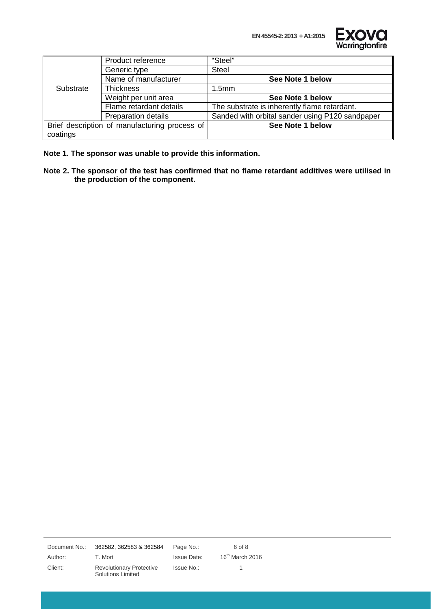**EN 45545-2: 2013 + A1:2015**



|           | Product reference                             | "Steel"                                         |
|-----------|-----------------------------------------------|-------------------------------------------------|
|           | Generic type                                  | <b>Steel</b>                                    |
|           | Name of manufacturer                          | See Note 1 below                                |
| Substrate | <b>Thickness</b>                              | 1.5 <sub>mm</sub>                               |
|           | Weight per unit area                          | See Note 1 below                                |
|           | Flame retardant details                       | The substrate is inherently flame retardant.    |
|           | <b>Preparation details</b>                    | Sanded with orbital sander using P120 sandpaper |
|           | Brief description of manufacturing process of | See Note 1 below                                |
| coatings  |                                               |                                                 |

**Note 1. The sponsor was unable to provide this information.**

**Note 2. The sponsor of the test has confirmed that no flame retardant additives were utilised in the production of the component.**

Document No.: 362582, 362583 & 362584 Page No.: 6 of 8

Client: Revolutionary Protective Solutions Limited

Issue No.: 1

Author: T. Mort Issue Date: 16<sup>th</sup> March 2016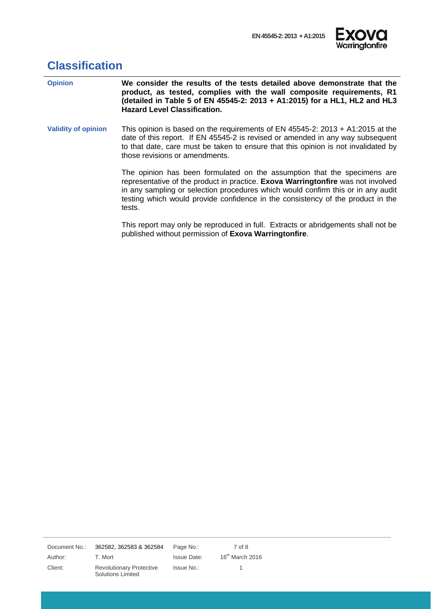

## <span id="page-6-0"></span>**Classification**

| <b>Opinion</b>             | We consider the results of the tests detailed above demonstrate that the<br>product, as tested, complies with the wall composite requirements, R1<br>(detailed in Table 5 of EN 45545-2: 2013 + A1:2015) for a HL1, HL2 and HL3<br><b>Hazard Level Classification.</b>                                                                        |
|----------------------------|-----------------------------------------------------------------------------------------------------------------------------------------------------------------------------------------------------------------------------------------------------------------------------------------------------------------------------------------------|
| <b>Validity of opinion</b> | This opinion is based on the requirements of EN 45545-2: 2013 + A1:2015 at the<br>date of this report. If EN 45545-2 is revised or amended in any way subsequent<br>to that date, care must be taken to ensure that this opinion is not invalidated by<br>those revisions or amendments.                                                      |
|                            | The opinion has been formulated on the assumption that the specimens are<br>representative of the product in practice. Exova Warringtonfire was not involved<br>in any sampling or selection procedures which would confirm this or in any audit<br>testing which would provide confidence in the consistency of the product in the<br>tests. |
|                            | This report may only be reproduced in full. Extracts or abridgements shall not be<br>published without permission of Exova Warringtonfire.                                                                                                                                                                                                    |

Document No.: 362582, 362583 & 362584 Page No.: 7 of 8

Client: Revolutionary Protective Solutions Limited

Issue No.: 1

Author: T. Mort Channel Issue Date: 16<sup>th</sup> March 2016